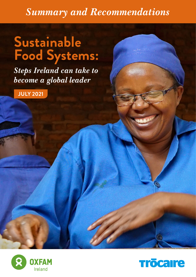### *Summary and Recommendations*

# **Sustainable Food Systems:**

*Steps Ireland can take to become a global leader*

**JULY 2021**



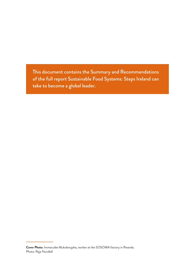This document contains the Summary and Recommendations of the full report Sustainable Food Systems: Steps Ireland can take to become a global leader.

**Cover Photo:** Immaculée Mukobwujaha, worker at the SOSOMA factory in Rwanda. Photo: Raja Nundlall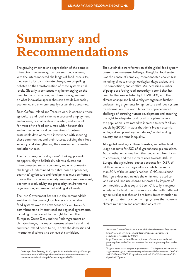## **Summary and Recommendations**

The growing evidence and appreciation of the complex interactions between agriculture and food systems, with the interconnected challenges of food insecurity, biodiversity loss, and climate change, are propelling debates on the transformation of these systems at all levels. Globally, a consensus may be emerging on the need for transformation, but there is no agreement on what innovative approaches can best deliver social, economic, and environmentally sustainable outcomes.

Both Oxfam Ireland and Trócaire work in contexts where agriculture and food is the main source of employment and income, is small scale and rainfed, and accounts for most of the food consumed within households and in their wider local communities. Countries' sustainable development is intertwined with securing these communities and their futures, building their food security, and strengthening their resilience to climate and other shocks.

The focus now, on food systems' thinking, presents an opportunity to holistically address diverse but interconnected social, economic, and environmental challenges. Underpinned by rights-based approaches, countries' agriculture and food policies must be framed in ways that foster social equity, women's empowerment, economic productivity and prosperity, environmental regeneration, and resilience building at all levels.

The Irish Government has set out the commendable ambition to become a global leader in sustainable food systems over the next decade.<sup>1</sup> Given Ireland's commitments to international and regional agreements, including those related to the right to food, the European Green Deal, and the Paris Agreement on climate change, this report assesses where Ireland is at and what Ireland needs to do, in both the domestic and international spheres, to achieve this ambition.

<sup>1</sup> Draft Agri-Food Strategy 2030, April 2021, available at: [https://www.gov.](https://www.gov.ie/en/consultation/bd894-public-consultation-on-the-environmental-assessment-of-the-draft-agri-food-strategy-to-2030/) [ie/en/consultation/bd894-public-consultation-on-the-environmental](https://www.gov.ie/en/consultation/bd894-public-consultation-on-the-environmental-assessment-of-the-draft-agri-food-strategy-to-2030/)[assessment-of-the-draft-agri-food-strategy-to-2030/](https://www.gov.ie/en/consultation/bd894-public-consultation-on-the-environmental-assessment-of-the-draft-agri-food-strategy-to-2030/)

The sustainable transformation of the global food system presents an immense challenge. The global food system<sup>2</sup> is at the centre of complex, interconnected challenges: including climate change, ecological degradation, land use competition, and conflict. An increasing number of people are facing food insecurity (a trend that has been further exacerbated by COVID-19), with the climate change and biodiversity emergencies further underpinning arguments for agriculture and food system transformation. The world faces the unprecedented challenge of pursuing human development and ensuring the right to adequate food for all on a planet where the population is estimated to increase to over 9 billion people by 2050,<sup>3</sup> in ways that don't breach essential ecological and planetary boundaries,<sup>4</sup> while tackling poverty and extreme inequality.

At a global level, agriculture, forestry, and other land usage accounts for 23% of all greenhouse gas emissions. Add in other emissions from the food chain, from farm to consumer, and the estimate rises towards 34%. In Europe, the agricultural sector accounts for 10.3% of GHG emissions. Irish agriculture contributes more than 30% of the country's national GHG emissions.5 This figure does not include the emissions related to land use and land use change generated by imports of commodities such as soy and beef. Critically, the great variety in the level of emissions associated with different agricultural approaches and products draws attention to the opportunities for incentivising systems that advance climate mitigation and adaptation objectives.

Please see Chapter Two for an outline of the key elements of food systems.

<sup>3</sup> [https://www.un.org/development/desa/en/news/population/world](https://www.un.org/development/desa/en/news/population/world-population-prospects-2019.html)[population-prospects-2019.html](https://www.un.org/development/desa/en/news/population/world-population-prospects-2019.html)

<sup>4</sup> [https://www.stockholmresilience.org/research/planetary-boundaries/](https://www.stockholmresilience.org/research/planetary-boundaries/planetary-boundaries/about-the-research/the-nine-planetary-boundaries.html) [planetary-boundaries/about-the-research/the-nine-planetary-boundaries.](https://www.stockholmresilience.org/research/planetary-boundaries/planetary-boundaries/about-the-research/the-nine-planetary-boundaries.html) [html](https://www.stockholmresilience.org/research/planetary-boundaries/planetary-boundaries/about-the-research/the-nine-planetary-boundaries.html)

<sup>5</sup> Teagasc: [https://www.teagasc.ie/publications/2020/agricultural-emissions-](https://www.teagasc.ie/publications/2020/agricultural-emissions---greenhouse-gases-and-ammonia.php#:~:text=Unfortunately%20for%20Irish%20farmers%2C%20agriculture,product%20of%20ruminant�s%20digestive%20process.) -greenhouse-gases-and-ammonia.php#:~:text=Unfortunately%20for%20 [Irish%20farmers%2C%20agriculture,product%20of%20ruminant's%20](https://www.teagasc.ie/publications/2020/agricultural-emissions---greenhouse-gases-and-ammonia.php#:~:text=Unfortunately%20for%20Irish%20farmers%2C%20agriculture,product%20of%20ruminant�s%20digestive%20process.) [digestive%20process.](https://www.teagasc.ie/publications/2020/agricultural-emissions---greenhouse-gases-and-ammonia.php#:~:text=Unfortunately%20for%20Irish%20farmers%2C%20agriculture,product%20of%20ruminant�s%20digestive%20process.)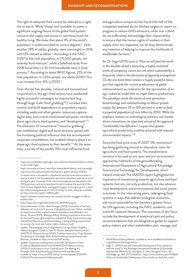The right to adequate food cannot be reduced to a right not to starve. While 'cheap' and 'available' to some, a significant ongoing failure of the global food system concerns the supply and access to nutritious foods for healthy living. We know that about 9% of the world's population is undernourished to various degrees,<sup>6</sup> while another 39% of adults, globally, were overweight in 2016, with 13% classed as obese. $^7$  According to the FAO, 3.5%8 of the Irish population, or 171,000 people, are severely food insecure, $9\,$  while a Safefood study from 2018 found that 1 in 10 Irish households were in food poverty.10 According to latest WHO figures, 25% of the Irish population, or 1.22m people, are obese (2016). This is an increase from 16% in 2000.<sup>11</sup>

Over the last few decades, national and transnational corporations in the agri-food sectors have conducted highly successful campaigns to, acquire land (e.g. through large-scale "land-grabbing<sup>12"</sup>), increase their control, and build dependence on proprietary inputs, including seeds and other genetic resources, capture digital data, and control institutional and public narratives about agriculture, food systems, and "development".<sup>13</sup> The extension of conventional "resource-grabbing" into intellectual, digital and social domains, paired with the increasing political influence that has accompanied corporate consolidation, has enabled industry players to shape agri-food systems to their benefit.<sup>14</sup> At the same time, a survey of the world's 350 most influential food

and agriculture companies has found that half of the companies assessed do not disclose targets or report on progress to reduce GHG emissions, while over a third do not sufficiently acknowledge their responsibility to ensure that the human rights of workers in their supply chain are respected, nor do they demonstrate any intention of helping to improve the livelihoods of smallholder farmers.15

As Dr. Sage (2015) puts it *"How we will feed the world in the decades ahead is becoming a highly contested arena of competing visions but one where sustainability is frequently cited in the discourses of opposing protagonists. On the one hand there remains a hugely powerful status quo that regards the current predicament of global malnourishment as vindication for the rejuvenation of an agri-industrial model that we might label as productivism. This paradigm extols the merits of next generation biotechnology and nanotechnology to deliver greater output (by between 70 to 100 percent) in order to feed a projected population of nine billion by 2050. While the emphasis remains on technological solutions and marketdriven innovations, an important strand of this approach ('sustainable intensification' ) argues that greater agricultural productivity could be achieved with reduced environmental impacts."*<sup>16</sup>

Since the food price crisis of 2007-08, momentum has being gathering around an alternative vision for agriculture and food systems. This *transformative narrative* is focused on pro-poor and pro-environment approaches, hallmarks of the groundbreaking International Assessment of Agricultural Knowledge, Science and Technology for Development, which Ireland endorsed. The IAASTD report highlighted the imperative of transitioning towards agriculture and food systems that are, not only productive, but also advance rural development, and environmental and social justice outcomes. In the intervening years, redesigning food systems in ways that address ecological, economic, and social sustainability has become a greater focus for UN agencies, including the FAO, academic, and scientific research literature. The outcomes of this focus include the development of analytical tools and policy recommendations that are designed as guides to support policy makers and other stakeholders plan, manage, and

<sup>6</sup> [https://ourworldindata.org/hunger-and-undernourishment#undernourishme](https://ourworldindata.org/hunger-and-undernourishment#undernourishment-by-world-region) [nt-by-world-region](https://ourworldindata.org/hunger-and-undernourishment#undernourishment-by-world-region)

<sup>7</sup> <https://www.who.int/news-room/fact-sheets/detail/obesity-and-overweight>

<sup>8</sup> <http://www.fao.org/sustainable-development-goals/indicators/212/en/>

In simple terms, a household is classified as severely food insecure when at least one adult in the household has reported to have been exposed, at times during the year, to several of the most severe experiences described in the FIES questions, such as to have been forced to reduce the quantity of the food, to have skipped meals, having gone hungry, or having to go for a whole day without eating because of a lack of money or other resources, available at: <http://www.fao.org/3/c-i4830e.pdf> ).

[https://irishheart.ie/news/many-low-income-families-struggle-to-afford](https://irishheart.ie/news/many-low-income-families-struggle-to-afford-healthy-diet/)[healthy-diet/](https://irishheart.ie/news/many-low-income-families-struggle-to-afford-healthy-diet/)

<https://apps.who.int/gho/data/node.main.A900A?lang=en>

Simon Hernandez-Arthur, Matt Grainger (2016), Custodians of the land, defenders of our future A new era of the global land rush, Oxfam, available at: [https://www.oxfam.org/en/research/custodians-land-defenders-our](https://www.oxfam.org/en/research/custodians-land-defenders-our-future)[future.](https://www.oxfam.org/en/research/custodians-land-defenders-our-future) Trocaire (2019), Making a Killing: Holding corporations to account for land and human rights violations, available at: [https://www.trocaire.org/](https://www.trocaire.org/sites/default/files/resources/policy/making_a_killing_holding_corporations_to_account_for_land_and_human_rights_violations_1.pdf) [sites/default/files/resources/policy/making\\_a\\_killing\\_holding\\_corporations\\_](https://www.trocaire.org/sites/default/files/resources/policy/making_a_killing_holding_corporations_to_account_for_land_and_human_rights_violations_1.pdf) [to\\_account\\_for\\_land\\_and\\_human\\_rights\\_violations\\_1.pdf](https://www.trocaire.org/sites/default/files/resources/policy/making_a_killing_holding_corporations_to_account_for_land_and_human_rights_violations_1.pdf)

Update: The emerging issue of "digitalization" of agriculture. Angelika Hilbeck & Eugenio Tisselli, in Hans R. Herren, Benedikt Haerlin and the IAASTD+10 Advisory Group (2020), Transformation of our Food Systems-The Making of a Paradigm Shift, Zukunftsstiftung Landwirtschaft and Biovision, available at:<https://www.arc2020.eu/wp->

Update: Corporate multilateralism at the UN, Pat Moone in Hans R. Herren, Benedikt Haerlin and the IAASTD+10 Advisory Group (2020), Transformation of our Food Systems-The Making of a Paradigm Shift, Zukunftsstiftung Landwirtschaft and Biovision, available at: [https://www.arc2020.eu/wp-content/uploads/2020/09/](https://www.arc2020.eu/wp-content/uploads/2020/09/FullTextOfTransformationFoodSystems.pdf) [FullTextOfTransformationFoodSystems.pdf](https://www.arc2020.eu/wp-content/uploads/2020/09/FullTextOfTransformationFoodSystems.pdf)

<sup>&</sup>lt;sup>15</sup> World Benchmarking Alliance, available at: [www.worldbenchmarkalliance.](www.worldbenchmarkalliance.org/publication/food-agriculture) [org/publication/food-agriculture](www.worldbenchmarkalliance.org/publication/food-agriculture)

Sage, C. (2015) Food and Sustainable Development: How should we feed the world? In *The Routledge International Handbook of Sustainable Development* (Redclift, M., Springett, D., eds), Abingdon, Oxon, UK : Routledge, pp. 264-277, available at: [https://www.academia.edu/7101864/](https://www.academia.edu/7101864/Food_and_Sustainable_Development_How_should_we_feed_the_world) [Food\\_and\\_Sustainable\\_Development\\_How\\_should\\_we\\_feed\\_the\\_world](https://www.academia.edu/7101864/Food_and_Sustainable_Development_How_should_we_feed_the_world)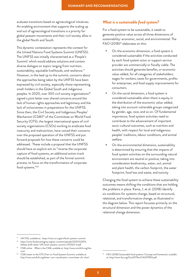evaluate transitions based on agroecological initiatives. An enabling environment that supports the scaling up and out of agroecological transitions is a priority for global peasant movements and their civil society allies in the global North and South.

This dynamic contestation represents the context for the United Nations Food Systems Summit (UNFSS). The UNFSS was initially characterised as a 'People's Summit' which would address solutions and contain diverse dialogue on topics ranging from nutrition, sustainability, equitable livelihoods, and resilience.<sup>17</sup> However, in the lead up to the summit, concerns about the approaches being taken by the UNFSS have been expressed by civil society, especially those representing small-holders in the Global South and indigenous peoples. In 2020, over 300 civil society organisations<sup>18</sup> signed a joint letter over shared concerns around the lack of human rights approaches and legitimacy and the lack of inclusiveness in preparations for the UNFSS. Since then, the Civil Society and Indigenous Peoples' Mechanism (CSM)19 of the Committee on World Food Security (CFS), the largest international space of civil society organisations (CSOs) working to eradicate food insecurity and malnutrition, have voiced their concerns over the proposed operation of the UNFSS and put forward proposals for how these concerns could be addressed. These include a proposal that the UNFSS should have an explicit aim to "reverse the corporate capture of food systems, an additional action track should be established, as part of the formal summit process, to focus on the transformation of corporate food systems."20

#### *What is a sustainable food system?*

For a food system to be sustainable, it needs to generate positive value across all three dimensions of sustainability: economic, social, and environmental. The  $FAO (2018)^{21}$  elaborates on this:

- On the economic dimension, a food system is considered sustainable if the activities conducted by each food system actor or support service provider are commercially or fiscally viable. The activities should generate benefits, or economic value-added, for all categories of stakeholders: wages for workers, taxes for governments, profits for enterprises, and food supply improvements for consumers.
- On the social dimension, a food system is considered sustainable when there is equity in the distribution of the economic value-added, taking into account vulnerable groups categorized by gender, age, race, and so on. Of fundamental importance, food system activities need to contribute to the advancement of important socio-cultural outcomes, such as nutrition and health, with respect for local and indigenous peoples' traditions, labour conditions, and animal welfare.
- On the environmental dimension, sustainability is determined by ensuring that the impacts of food system activities on the surrounding natural environment are neutral or positive, taking into consideration biodiversity, water, soil, animal and plant health, the carbon footprint, the water footprint, food loss and waste, and toxicity

Changing the food system to achieve these sustainability outcomes means shifting the conditions that are holding the problems in place. Kania, J. et al. (2018) identify six conditions for systems change, based on structural, relational, and transformative change, as illustrated in the diagram below. This report focusses primarily on the structural dimension and the power dynamics of the relational change dimension.

UN FSS, available at: <https://www.un.org/en/food-systems-summit>

[https://www.foodsovereignty.org/wp-content/uploads/2020/02/EN\\_](https://www.foodsovereignty.org/wp-content/uploads/2020/02/EN_Edited_draft-letter-UN-food-systems-summit_070220-4.pdf) [Edited\\_draft-letter-UN-food-systems-summit\\_070220-4.pdf](https://www.foodsovereignty.org/wp-content/uploads/2020/02/EN_Edited_draft-letter-UN-food-systems-summit_070220-4.pdf)

CSM online – What is the CSM, available at: [http://www.csm4cfs.org/the](http://www.csm4cfs.org/the-csm/)[csm/](http://www.csm4cfs.org/the-csm/)

CSM Letter to the CFS Chair on Food Systems Summit, available at: <http://www.csm4cfs.org/letter-csm-coordination-committee-cfs-chair/>

FAO (2018) Sustainable food systems: Concept and framework, available at:<http://www.fao.org/3/ca2079en/CA2079EN.pdf>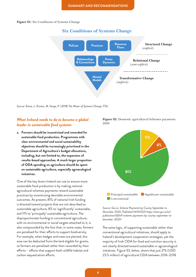**Figure S1:** Six Conditions of Systems Change



*Source: Kania, J., Kramer, M. Senge, P. (2018) The Water of Systems Change, FSG*

#### *What Ireland needs to do to become a global leader in sustainable food systems*

**a. Farmers should be incentivised and rewarded for sustainable food production. Programmes with clear environmental and social sustainability objectives should be increasingly prioritised in the Department of Agriculture's budget allocations, including, but not limited to, the expansion of results-based approaches. A much larger proportion of ODA spending on agriculture should be spent on sustainable agriculture, especially agroecological initiatives.**

One of the key levers Ireland can use to ensure more sustainable food production is by making national agricultural schemes payments reward sustainable practices by incentivising desirable environmental outcomes. At present, 81% of national Irish funding is directed toward projects that are not described as sustainable agriculture, 8% to 'significantly' sustainable, and 11% to 'principally' sustainable agriculture. The disproportionate funding to conventional agriculture, with no environmental or social targets attached to it, is also compounded by the fact that, in some cases, farmers are penalised for their efforts to support biodiversity. For example, when hedges and trees are planted, this area can be deducted from the land eligible for grants, so farmers are penalised rather than rewarded by their efforts – efforts that support both wildlife habitat and carbon sequestration efforts.

**Figure S2:** Domestic agricultural Schemes payments 2020



*Source: Gov.ie, Scheme Payments by County September to December 2020, Published 14/01/2021 [https://www.gov.ie/en/](https://www.gov.ie/en/publication/5f0e9-scheme-payments-by-county-september-to-december-2020/) [publication/5f0e9-scheme-payments-by-county-september-to](https://www.gov.ie/en/publication/5f0e9-scheme-payments-by-county-september-to-december-2020/)[december-2020/](https://www.gov.ie/en/publication/5f0e9-scheme-payments-by-county-september-to-december-2020/)*

The same logic, of supporting sustainable rather than conventional agricultural initiatives, should apply to Ireland's development cooperation strategies, yet the majority of Irish ODA for food and nutrition security is not clearly directed toward sustainable or agroecological initiatives. Figure S3, below, shows that just 21% (USD 23.5 million) of agricultural ODA between 2016-2018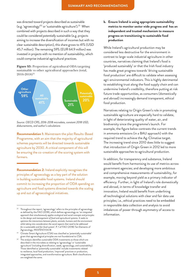was directed toward projects described as sustainable (e.g. 'agroecology'22 or 'sustainable agriculture').23 When combined with projects described in such a way that they could be considered *potentially* sustainable (e.g. projects aiming to increase the diversification of incomes but with no clear sustainable description), this share grows to 41% (USD 45.7 million). The remaining 59% (EUR 64.9 million) was invested in projects with no mention of sustainability, which could comprise industrial agricultural practices.

**Figure S3:** Proportion of agricultural ODA targeting sustainable vs other agricultural approaches (total, 2016-2018)24



*Source: OECD CRS, 2016-2018 microdata, constant 2018 USD, disbursements, and author's calculations*

**Recommendation 1:** Mainstream the pilot Results-Based Programme, with an aim that the majority of agricultural schemes payments will be directed towards sustainable agriculture by 2030. A critical component of this will be ensuring the co-creation of the scoring system with farmers.

**Recommendation 2:** Ireland explicitly recognises the principles of agroecology as a key part of the solution in building sustainable food systems. Ireland should commit to increasing the proportion of ODA spending on agriculture and food systems directed towards the scaling up and out of agroecological initiatives.

**b. Ensure Ireland is using appropriate sustainability metrics to monitor sector wide progress and has an independent and trusted mechanism to measure progress on transitioning to sustainable food production**

While Ireland's agricultural production may be considered less destructive for the environment in contrast to large-scale industrial agriculture in other countries, narratives claiming that Ireland's food is 'produced sustainably' or that the Irish food industry has made great progress towards 'driving sustainable food production' are difficult to validate when assessing agri-environmental indicators. This is highly detrimental to establishing trust along the food supply chain and can undermine Ireland's credibility, therefore putting at risk future trade opportunities, as consumers (domestically and abroad) increasingly demand transparent, ethical food production.

Narratives relating to Origin Green's role in promoting sustainable agriculture are especially hard to validate, in light of deteriorating quality of water, air, and biodiversity since the programme's launch. For example, the figure below contrasts the current trends in ammonia emissions (in a BAU approach) with the required trend to achieve the Ag-Climatise target. The increasing trend since 2010 does little to suggest that introduction of Origin Green in 2012 led to more sustainable approaches to agricultural production.

In addition, for transparency and substance, Ireland would benefit from harmonising its use of metrics across government agencies; and developing more ambitious and comprehensive measurements of sustainability, for example, moving beyond yield as a primary indicator of efficiency. Further, in light of Ireland's role domestically and abroad, in terms of knowledge transfer and innovation, Ireland would benefit from underlining all technological solutions with clear and fair data use principles; i.e., ethical practices need to be embedded in responsible data collection and analysis to avoid imbalances of power through asymmetry of access to information.

Throughout the report, 'agroecology' refers to the principles of agroecology as defined by the FAO (2018), which defines agroecology as: '*an integrated approach that simultaneously applies ecological and social concepts and principles to the design and management of food and agricultural systems. It seeks to optimize the interactions between plants, animals, humans and the environment while taking into consideration the social aspects that need to be addressed for a sustainable and fair food system'*. P. 1 of FAO (2018) Ten Elements of Agroecology, I9037EN/1/04.18

<sup>23</sup> Climate-Smart Agriculture (CSA) was classified as 'potentially sustainable' given that agroecological principles are not foundational to CSA.

<sup>&</sup>lt;sup>24</sup> The analysis identifies sustainable ODA investments as those which are described in the microdata as relating to 'agroecology' or 'sustainable agriculture' (including diversification, seeds, agroecology, and sustainability). Those identified as 'potentially sustainable' include investments related to resilience, local food production, 'improved' practices or production, integrated approaches, and transformative agriculture. Both classifications are weighted the same.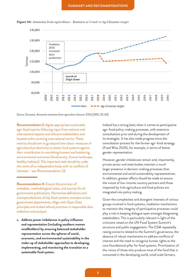ϮϬϭϬĚŽĞƐůŝƚƚůĞƚŽƐƵŐŐĞƐƚƚŚĂƚŝŶƚƌŽĚƵĐƚŝŽŶŽĨKƌŝŐŝŶ'ƌĞĞŶŝŶϮϬϭϮůĞĚƚŽŵŽƌĞƐƵƐƚĂŝŶĂďůĞ



Figure S4: Ammonia from agriculture - Business as Usual vs Ag-Climatise target

*Source: Eurostat, Ammonia emissions from agriculture (source: EEA) [SDG\_02\_60] ^ŽƵƌĐĞ͗ƵƌŽƐƚĂƚ͕ŵŵŽŶŝĂĞŵŝƐƐŝŽŶƐĨƌŽŵĂŐƌŝĐƵůƚƵƌĞ;ƐŽƵƌĐĞ͗Ϳ^'ͺϬϮͺϲϬ*

**Recommendation 3:** Agree appropriate sustainable Accommendation of groupping occurrence in the contractors with the contractors of particles in the contractors of particles in the contractors of particles in the contractors of the standard and agri-food policy-making pro we we health the relevant statement and the theories are the relevant stakeholders and the consultations prior and during the development international experts and relevant stakeholders and the consultations prior and duri wech cated within evolving international norms. These which was trategies. It has also made progress sinc located within evolving international norms. These Further, in the colling international norms. These the classic measures of the former agri-food strategies is role on the intervals role of the former agri-food strategies is and about the classic measures of consultation agricultural productivity to assess food systems against (Area Constitution proceed for the former again root entang<br>A final productivity to assess food systems against (Area 2025), for example, in terms of better their contribution to nourishing humans and bolstering experience and the state of the state state their contribution to nourishing humans and bolstering and expedient representation. environmental outcomes (biodiversity, diverse landscape, and the constant of the constant of the constant of the constant of the constant of the constant of the constant of the constant of the constant of the constant of t healthy habitats). This important task should be under **Example 1999** Thomever, genuer imparances remain and, important the remit of an independent body with no conflicts of private sector and state bodies maintain a multiple sector.

**c. Address power imbalances in policy influence and representation (including southern women smallholders) by ensuring balanced stakeholder representation across the spheres of social, economic, and environmental sustainability in the make-up of stakeholder approaches to developing, implementing, and monitoring the transition to a sustainable food system.**

Ireland has a strong basis when it comes to participative agri-food policy-making processes, with extensive consultations prior and during the development of its strategies. It has also made progress since the consultation process for the former agri-food strategy (Food Wise 2025), for example, in terms of better gender representation.

interests – see Recommendation 22. However, gender imbalances remain and, importantly, private sector and state bodies maintain a much larger presence in decision-making processes than environmental and social sustainability representatives. IN ADDITION AND SUNDOMINATIONS AND SOCIAL SASTAMASMISY TOP ISSURATIONS<br>In addition, greater efforts should be made to ensure the voices of low-incomendation 4: Ensure the provision of the voices of low-income country partners and those  $\frac{1}{\sqrt{2}}$ impacted by Irish agriculture and food policies are integrated into policy making.

> Given the complexities and divergent interests of various groups involved in food systems, mediation mechanisms to maintain the integrity of participative processes could play a role in keeping dialogue open amongst disagreeing stakeholders. This is particularly relevant in light of the criticisms raised on the UN Food System Summit's structure and public engagement. The CSM repeatedly raising concerns related to the Summit's governance, the absence of robust mechanisms to address conflicts of interest and the need to recognise human rights as the core foundational pillar for food systems. Prioritisation of the voices of those who produce most of the food that is consumed in the developing world, small scale farmers,

Recommendation 4: Ensure the provision of the voices of low-income country partners<br>
impacted by light agriculture and food poli metadata, methodological notes, and sources for all government publications. Harmonise definitions and lategrated into policy making. conceptualisations of key food systems concepts across Civen the complexities and divergent interes government departments. Align with Open Data principles and embed ethical practices in responsible data collection and analysis.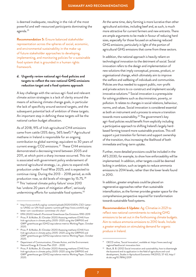is deemed inadequate, resulting in the risk of the most powerful and well-resourced participants dominating the agenda.25

**Recommendation 5:** Ensure balanced stakeholder representation across the spheres of social, economic, and environmental sustainability in the make-up of future stakeholder approaches to developing, implementing, and monitoring policies for a sustainable food system that is grounded in a human rights framework.

#### **d. Urgently review national agri-food policies and targets to reflect the new national GHG emissions reduction target and a food systems approach**

A key challenge with the various agri-food and relevant climate action strategies is a lack of clarity around the means of achieving climate change goals, in particular the lack of specificity around sectoral targets, and the subsequent potential lack of ambition of these targets. An important step in defining these targets will be the national carbon budget allocation.

As of 2018, 91% of Irish agricultural CH4 emissions came from cattle (35% dairy, 56% beef).<sup>26</sup> Agricultural methane in Ireland is responsible for an ongoing contribution to global warming; equivalent to 30 years of current energy CO2 emissions.<sup>27</sup> These CH4 emissions demonstrated a decreasing trend between 2005 and 2011, at which point a sharp increase occurred. This rise is associated with government policy endorsement of sectoral agricultural strategy, i.e., plans to expand milk production under Food Wise 2025, and is expected to continue rising. During the 2013 – 2018 period, as milk production rose, so did levels of nitrogen by 15.7%.<sup>28</sup> <sup>29</sup> This 'national climate policy failure' since 2010 has 'undone 20 years of mitigation effort', seriously undermining efforts for sustainable food systems.<sup>30</sup>

At the same time, dairy farming is more lucrative than other agricultural activities, including beef and, as such, is much more attractive for current farmers and new entrants. There are ample arguments to be made in favour of reducing herd sizes, especially for those focused on achieving reduced GHG emissions; particularly in light of the portion of agricultural GHG emissions that come from these sectors.

In addition, the national approach is heavily reliant on technological innovation to the detriment of social. Social innovation refers to the design and implementation of new solutions that imply conceptual, process, product, or organisational change, *which* ultimately aim to improve the welfare and wellbeing of individuals and communities. Policies are thus needed to support public, non-profit and private actors to co-construct and implement socially innovative solutions.31 Social innovation is a prerequisite for solving problems such as discrimination, poverty, or pollution. It relates to changes in social relations, behaviour, norms, and values. Social innovation is considered essential as both an instrument and a process to ensure a transition towards more sustainability.<sup>32</sup> The government's key agri-food policies would benefit from explicitly including a participative approach to shifting Ireland's largely herdbased farming toward more sustainable practices. This will support a *just transition* for farmers and support ownership of the transition, thus increasing the likelihood of both immediate and long-term uptake.

Further, more detailed provisions could be included in the AFS 2030; for example, to show how enforceability will be implemented. In addition, other targets could be deemed lacking in ambition, such as targets to reduce ammonia emissions to 2014 levels, rather than the lower levels found in 2010.

In addition, greater emphasis could be placed on regenerative approaches rather than sustainable intensification, as the former provides greater space for the comprehensive perspective required for transformation towards sustainable food systems.

**Recommendation 6 Update:** Ag-Climatise in 2021 to reflect new national commitments to reducing GHG emissions to be set out in the forthcoming climate budgets. Aim to reduce ammonia emissions to 2010 levels. Include a greater emphasis on stimulating demand for organic produce in Ireland.

<sup>25</sup> [http://www.csm4cfs.org/wp-content/uploads/2020/03/EN\\_CSO-Letter](http://www.csm4cfs.org/wp-content/uploads/2020/03/EN_CSO-Letter-to-UNSG-on-UN-food-systems-summit.pdf)[to-UNSG-on-UN-food-systems-summit.pdf](http://www.csm4cfs.org/wp-content/uploads/2020/03/EN_CSO-Letter-to-UNSG-on-UN-food-systems-summit.pdf) [http://www.csm4cfs.org/](http://www.csm4cfs.org/letter-csm-coordination-committee-cfs-chair/) [letter-csm-coordination-committee-cfs-chair/](http://www.csm4cfs.org/letter-csm-coordination-committee-cfs-chair/)

<sup>26</sup> EPA (2020) Ireland's Provisional Greenhouse Gas Emissions 1990-2019

<sup>27</sup> Price, P. & Mullen, B. (October 2020) Assessing methane (CH4) from Irish agriculture in climate policy 2005–2020 using the GWP100 and GWP\* greenhouse gas (GHG) equivalence metrics Working Paper, October 2020.

<sup>28</sup> Price, P. & Mullen, B. (October 2020) Assessing methane (CH4) from Irish agriculture in climate policy 2005–2020 using the GWP100 and GWP\* greenhouse gas (GHG) equivalence metrics Working Paper, October 2020.

<sup>&</sup>lt;sup>29</sup> Department of Communication, Climate Action, and the Environment: National Energy & Climate Plan 2021 – 2030

<sup>30</sup> Price, P. & Mullen, B. (October 2020) Assessing methane (CH4) from Irish agriculture in climate policy 2005–2020 using the GWP100 and GWP\* greenhouse gas (GHG) equivalence metrics Working Paper, October 2020.

<sup>31</sup> OECD online, 'Social Innovation', available at: [https://www.oecd.org/](https://www.oecd.org/regional/leed/social-innovation.htm) [regional/leed/social-innovation.htm](https://www.oecd.org/regional/leed/social-innovation.htm)

<sup>&</sup>lt;sup>32</sup> Bock, B. B. (2012) Social innovation and sustainability; how to disentangle the buzzword and its application in the field of agriculture and rural development, *Studies in Agricultural Economics* 114(2012), 57-63, [http://](http://dx.doi.org/10.7896/j.1209) [dx.doi.org/10.7896/j.1209](http://dx.doi.org/10.7896/j.1209)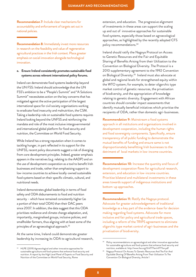**Recommendation 7:** Include clear mechanisms for accountability and enforcement of targets set out in national policies.

**Recommendation 8:** Immediately invest more resources in research on the feasibility and value of regenerative agricultural practices in the Irish context. Place greater emphasis on social innovation alongside technological innovation.

#### **e. Ensure Ireland consistently promotes sustainable food systems across relevant international policy forums.**

Ireland can demonstrate food systems leadership beyond the UN FSS: Ireland should acknowledge that the UN FSS's ambition to be a "People's Summit" and "A Solutions Summit" necessitates action on the key concerns that has mitigated against the active participation of the largest international space for civil society organisations working to eradicate food insecurity and malnutrition, the CSM. Taking a leadership role on sustainable food systems requires Ireland looking beyond the UNFSS and reinforcing the mandate and role of the most inclusive intergovernmental and international global platform for food security and nutrition, the Committee on World Food Security.

While Ireland has a strong reputation when it comes to tackling hunger, in part reflected in its support for the UNFSS, recent policy documents suggest a risk of diverging from core development principles. Indeed, greater emphasis appears in the narratives (e.g. relating to the AADP) and on the use of development cooperation as a tool to benefit Irish businesses and trade, rather than emphasising support to low-income countries to achieve locally-owned sustainable food systems based on their specific climatic, cultural, and nutritional needs.

Ireland demonstrates global leadership in terms of food safety and ODA disbursements to food and nutrition security – which have remained consistently higher (as a portion of their total ODA) than their DAC peers since 2007. In addition, the data suggest that this ODA prioritises resilience and climate change adaptation, and, importantly, marginalised groups, inclusive policies, and smallholder farmers, thus aligning with at least some of the principles of an agroecological approach.<sup>33</sup>

At the same time, Ireland could demonstrate greater leadership by increasing its ODA to agricultural research, extension, and education. The progressive alignment of investments in these areas can support the scaling up and out of innovative approaches for sustainable food systems, especially those based on agroecological approaches, as highlighted by the recently adopted CFS policy recommendations.34

Ireland should ratify the Nagoya Protocol on Access to Genetic Resources and the Fair and Equitable Sharing of Benefits Arising from their Utilization to the Convention on Biological Diversity. The Protocol is a 2010 supplementary agreement to the 1992 Convention on Biological Diversity.35 Ireland must also advocate at global and regional levels for strengthened equity within the WTO system; for example, to deter oligarchic type market control of genetic resources, the privatisation of biodiversity, and the appropriation of knowledge relating to genetic diversity. Engagement with African countries should consider impact assessments that identify mutually beneficial initiatives which prioritise the recipients of ODA, rather than domestic agri-businesses.

**Recommendation 9:** Mainstream a food systems approach in all institutions and organisations involved in development cooperation, including the human rights and food sovereignty components. Specifically, ensure transparency of all public funding to demonstrate the mutual benefits of funding and ensure same is not disproportionately benefitting Irish businesses to the detriment of local markets in low-income countries.

**Recommendation 10:** Increase the quantity and focus of development cooperation flows for agricultural research, extension, and education in low-income countries. Prioritise bilateral and multilateral investments in these areas towards support of indigenous institutions and bottom-up approaches.

**Recommendation 11:** Ratify the Nagoya protocol. Advocate for greater acknowledgement of traditional knowledge as a key part of the evidence-base for decision making regarding food systems. Advocate for more inclusive and fair policy and agricultural trade spaces, including a reform of the TRIPS agreement to eliminate oligarchic type market control of agri-businesses and the privatisation of biodiversity.

<sup>&</sup>lt;sup>33</sup> HLPE (2019) Agroecological and other innovative approaches for sustainable agriculture and food systems that enhance food security and nutrition. A report by the High Level Panel of Experts on Food Security and Nutrition of the Committee on World Food Security, Rome

Policy recommendations on agroecological and other innovative approaches for sustainable agriculture and food systems that enhance food security and nutrition, available at:<http://www.fao.org/3/nf777en/nf777en.pdf>

Nagoya Protocol On Access To Genetic Resources And The Fair And Equitable Sharing Of Benefits Arising From Their Utilization To The Convention On Biological Diversity, Article 1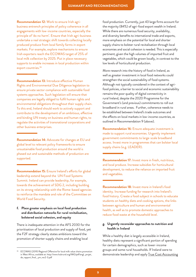**Recommendation 12:** Work to ensure Irish agribusiness entrench principles of policy coherence in all engagements with low-income countries, especially the principle of 'do no harm'. Ensure that Irish agri-business undertake a real strategic shift towards collecting locally produced produce from local family farms in export markets. For example, explore mechanisms to ensure Irish exporters reach the ECOWAS target of 25% of local milk collection by 2025. Put in place necessary supports to enable increases in local production within export countries.<sup>36</sup>

**Recommendation 13:** Introduce effective Human Rights and Environmental Due Diligence legislation to ensure private sector compliance with sustainable food systems approaches. Such legislation will ensure that companies are legally obliged to fulfil human rights and environmental obligations throughout their supply chain. To this end, Ireland should work to actively support and contribute to the development of an ambitious, effective and binding UN treaty on business and human rights, to regulate the activities of transnational corporations and other business enterprises.

**Recommendation 14:** Advocate for changes at EU and global level to relevant policy frameworks to ensure unsustainable food production around the world is phased out and sustainable methods of production are supported.

**Recommendation 15:** Ensure Ireland's efforts for global leadership extend beyond the UN Food Systems Summit. Ireland can provide leadership, for example, towards the achievement of SDG 2, including building on its strong relationship with the Rome-based agencies to reinforce the mandate and role of the Committee on World Food Security.

#### **f. Place greater emphasis on local food production and distribution networks for rural revitalisation, bolstered social cohesion, and equity**

There is inadequate attention in the AFS 2030 for the prioritisation of local production and supply of food, yet the F2F strategy clearly states ambitions toward the promotion of shorter supply chains and enabling local

food production. Currently, just 43 large firms account for the majority (84%) of agri-food export wealth in Ireland. While there are numerous food security, availability, and diversity benefits to international trade and exports, more emphasis on the potential for local and shorter supply chains to bolster rural revitalisation through local economies and social cohesion is needed. This is especially pertinent, given the high volumes of imported fruit and vegetables, which could be grown locally, in contrast to the low levels of horticultural production.

More research into the history of food in Ireland, as well as greater investment in local food networks could strengthen the social sustainability of food systems. Although not typically considered in the context of agrifood policies, a barrier to social and economic sustainability remains the poor quality of digital connectivity in rural Ireland, despite the 2020 Programme for the Government's (and previous) commitments to roll out broadband in rural areas. Further, coherence needs to be established between Ireland's trade outcomes and the effects on local markets in low-income countries, as outlined in Recommendation 9 (above).

**Recommendation 16:** Ensure adequate investment is made to support rural economies. Urgently implement government commitments to large-scale broadband access. Invest more in programmes that can bolster local supply chains (e.g. LEADER).

**Recommendation 17:** Invest more in fresh, nutritious, and local produce. Increase subsidies for horticultural development, to reduce the reliance on imported fruit and vegetables.

**Recommendation 18:** Invest more in Ireland's food identity. Increase funding for research into Ireland's food history. Create a food subject in schools to educate students on healthy diets and cooking options, the links between agriculture and human and environmental health, as well as to promote domestic approaches to reduce food waste at the household level.

#### **g. Urgently reconsider approaches to nutrition and health in Ireland**

While a healthy diet is largely accessible in Ireland, healthy diets represent a significant portion of spending for certain demographics, such as lower-income groups and some rural households. If Ireland were to demonstrate leadership and apply True Cost Accounting

ECOWAS (2019) Regional Offensive for local milk value chains promotion in West Africa, available at: [http://www.hubrural.org/IMG/pdf/angl.\\_projet\\_](http://www.hubrural.org/IMG/pdf/angl._projet_de_rapport_final__ym_rev2-3.pdf) [de\\_rapport\\_final\\_\\_ym\\_rev2-3.pdf](http://www.hubrural.org/IMG/pdf/angl._projet_de_rapport_final__ym_rev2-3.pdf)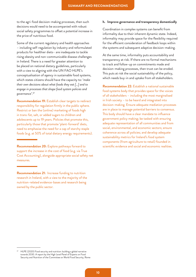to the agri-food decision-making processes, then such decisions would need to be accompanied with robust social safety programmes to offset a potential increase in the price of nutritious food.

Some of the current regulatory and health approaches – including self-regulation by industry and reformulated products for healthier diets– are inadequate to tackle rising obesity and non-communicable disease challenges in Ireland. There is a need for greater attention to be placed on national dietary guidelines, particularly with a view to aligning with the UN FAO HLPE's conceptualisation of *agency* in sustainable food systems, which states citizens should have the capacity to: '*make their own decisions about what foods they eat […] and to engage in processes that shape food system policies and governance*'.37

**Recommendation 19:** Establish clear targets to redirect responsibility for regulation firmly in the public sphere. Restrict or ban the (online) marketing of foods high in trans-fat, salt, or added sugars to children and adolescents up to 19 years. Policies that promote this, particularly those that promote 'plant-forward' diets, need to emphasise the need for a cap of starchy staple foods (e.g. at 50% of total dietary energy requirements).

**Recommendation 20:** Explore pathways forward to support the increase in the cost of food (e.g. via True Cost Accounting), alongside appropriate social safety net measures.

**Recommendation 21:** Increase funding to nutrition research in Ireland, with a view to the majority of the nutrition-related evidence-bases and research being owned by the public sector.

#### **h. Improve governance and transparency domestically**

Coordination in complex systems can benefit from informality due to their inherent dynamic state. Indeed, informality may provide space for the flexibility required for the efficient consideration of feedback loops within the systems and subsequent adaptive decision-making.

At the same time, informality puts accountability and transparency at risk. If there are no formal mechanisms to track and follow-up on commitments made and decision-making processes, then trust can be eroded. This puts at risk the social sustainability of the policy, which needs buy-in and uptake from all stakeholders.

**Recommendation 22:** Establish a national sustainable food systems body that provides space for the voices of all stakeholders – including the most marginalised in Irish society – to be heard and integrated into decision-making. Ensure adequate mediation processes are in place to manage potential barriers to consensus. This body should have a clear mandate to influence government policy making; be tasked with ensuring adequate representation of all communities and from social, environmental, and economic sectors; ensure coherence across all policies; and develop adequate sustainability metrics for Ireland's food system components (from agriculture to retail) founded in scientific evidence and social and economic realities.

HLPE (2020) Food security and nutrition: building a global narrative towards 2030. A report by the High Level Panel of Experts on Food Security and Nutrition of the Committee on World Food Security, Rome